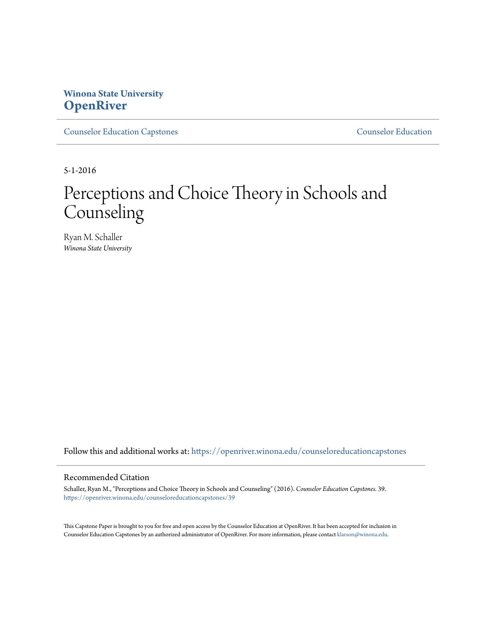# **Winona State University [OpenRiver](https://openriver.winona.edu?utm_source=openriver.winona.edu%2Fcounseloreducationcapstones%2F39&utm_medium=PDF&utm_campaign=PDFCoverPages)**

[Counselor Education Capstones](https://openriver.winona.edu/counseloreducationcapstones?utm_source=openriver.winona.edu%2Fcounseloreducationcapstones%2F39&utm_medium=PDF&utm_campaign=PDFCoverPages) [Counselor Education](https://openriver.winona.edu/counseloreducation?utm_source=openriver.winona.edu%2Fcounseloreducationcapstones%2F39&utm_medium=PDF&utm_campaign=PDFCoverPages)

5-1-2016

# Perceptions and Choice Theory in Schools and **Counseling**

Ryan M. Schaller *Winona State University*

Follow this and additional works at: [https://openriver.winona.edu/counseloreducationcapstones](https://openriver.winona.edu/counseloreducationcapstones?utm_source=openriver.winona.edu%2Fcounseloreducationcapstones%2F39&utm_medium=PDF&utm_campaign=PDFCoverPages)

#### Recommended Citation

Schaller, Ryan M., "Perceptions and Choice Theory in Schools and Counseling" (2016). *Counselor Education Capstones*. 39. [https://openriver.winona.edu/counseloreducationcapstones/39](https://openriver.winona.edu/counseloreducationcapstones/39?utm_source=openriver.winona.edu%2Fcounseloreducationcapstones%2F39&utm_medium=PDF&utm_campaign=PDFCoverPages)

This Capstone Paper is brought to you for free and open access by the Counselor Education at OpenRiver. It has been accepted for inclusion in Counselor Education Capstones by an authorized administrator of OpenRiver. For more information, please contact [klarson@winona.edu](mailto:klarson@winona.edu).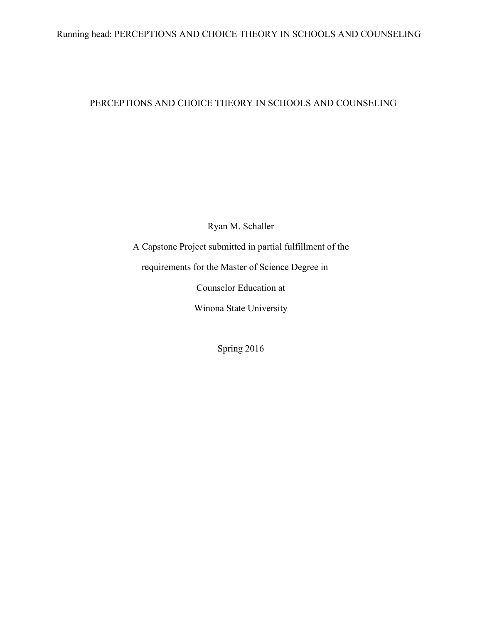# Running head: PERCEPTIONS AND CHOICE THEORY IN SCHOOLS AND COUNSELING

# PERCEPTIONS AND CHOICE THEORY IN SCHOOLS AND COUNSELING

Ryan M. Schaller

A Capstone Project submitted in partial fulfillment of the requirements for the Master of Science Degree in Counselor Education at Winona State University

Spring 2016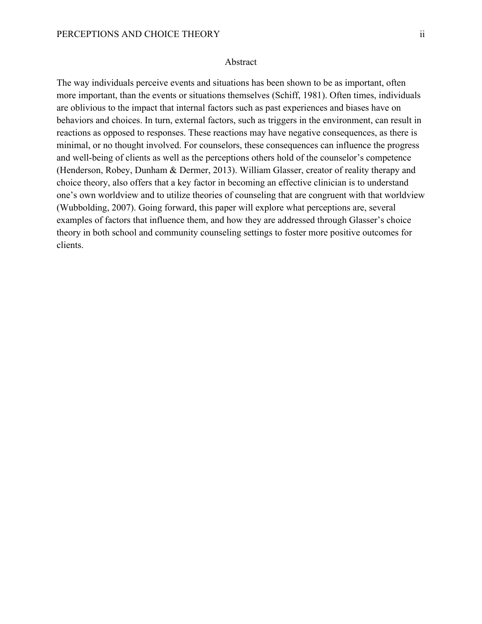The way individuals perceive events and situations has been shown to be as important, often more important, than the events or situations themselves (Schiff, 1981). Often times, individuals are oblivious to the impact that internal factors such as past experiences and biases have on behaviors and choices. In turn, external factors, such as triggers in the environment, can result in reactions as opposed to responses. These reactions may have negative consequences, as there is minimal, or no thought involved. For counselors, these consequences can influence the progress and well-being of clients as well as the perceptions others hold of the counselor's competence (Henderson, Robey, Dunham & Dermer, 2013). William Glasser, creator of reality therapy and choice theory, also offers that a key factor in becoming an effective clinician is to understand one's own worldview and to utilize theories of counseling that are congruent with that worldview (Wubbolding, 2007). Going forward, this paper will explore what perceptions are, several examples of factors that influence them, and how they are addressed through Glasser's choice theory in both school and community counseling settings to foster more positive outcomes for clients.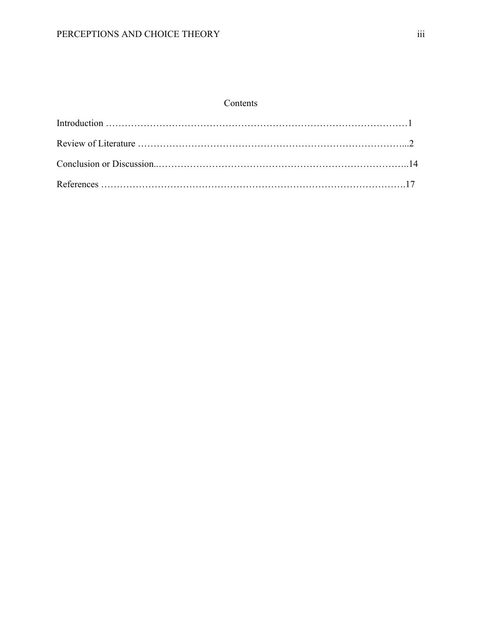# Contents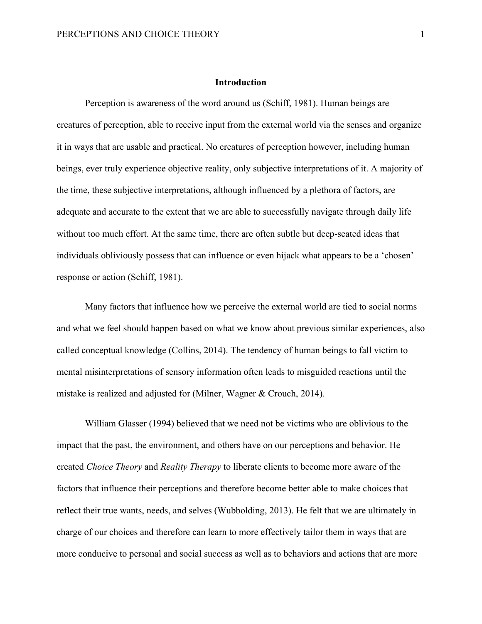## **Introduction**

Perception is awareness of the word around us (Schiff, 1981). Human beings are creatures of perception, able to receive input from the external world via the senses and organize it in ways that are usable and practical. No creatures of perception however, including human beings, ever truly experience objective reality, only subjective interpretations of it. A majority of the time, these subjective interpretations, although influenced by a plethora of factors, are adequate and accurate to the extent that we are able to successfully navigate through daily life without too much effort. At the same time, there are often subtle but deep-seated ideas that individuals obliviously possess that can influence or even hijack what appears to be a 'chosen' response or action (Schiff, 1981).

Many factors that influence how we perceive the external world are tied to social norms and what we feel should happen based on what we know about previous similar experiences, also called conceptual knowledge (Collins, 2014). The tendency of human beings to fall victim to mental misinterpretations of sensory information often leads to misguided reactions until the mistake is realized and adjusted for (Milner, Wagner & Crouch, 2014).

William Glasser (1994) believed that we need not be victims who are oblivious to the impact that the past, the environment, and others have on our perceptions and behavior. He created *Choice Theory* and *Reality Therapy* to liberate clients to become more aware of the factors that influence their perceptions and therefore become better able to make choices that reflect their true wants, needs, and selves (Wubbolding, 2013). He felt that we are ultimately in charge of our choices and therefore can learn to more effectively tailor them in ways that are more conducive to personal and social success as well as to behaviors and actions that are more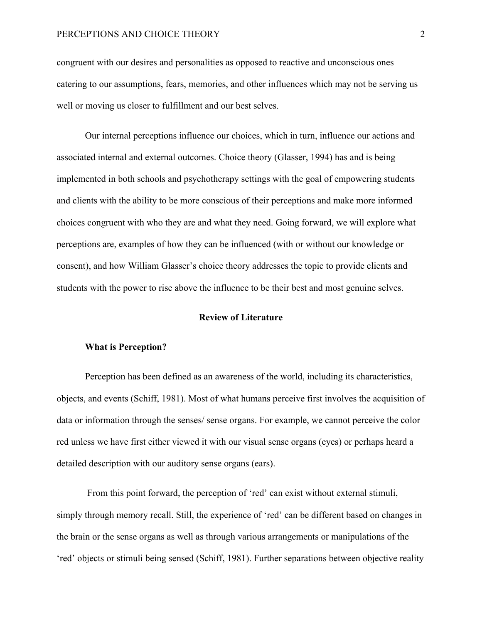congruent with our desires and personalities as opposed to reactive and unconscious ones catering to our assumptions, fears, memories, and other influences which may not be serving us well or moving us closer to fulfillment and our best selves.

Our internal perceptions influence our choices, which in turn, influence our actions and associated internal and external outcomes. Choice theory (Glasser, 1994) has and is being implemented in both schools and psychotherapy settings with the goal of empowering students and clients with the ability to be more conscious of their perceptions and make more informed choices congruent with who they are and what they need. Going forward, we will explore what perceptions are, examples of how they can be influenced (with or without our knowledge or consent), and how William Glasser's choice theory addresses the topic to provide clients and students with the power to rise above the influence to be their best and most genuine selves.

## **Review of Literature**

## **What is Perception?**

Perception has been defined as an awareness of the world, including its characteristics, objects, and events (Schiff, 1981). Most of what humans perceive first involves the acquisition of data or information through the senses/ sense organs. For example, we cannot perceive the color red unless we have first either viewed it with our visual sense organs (eyes) or perhaps heard a detailed description with our auditory sense organs (ears).

From this point forward, the perception of 'red' can exist without external stimuli, simply through memory recall. Still, the experience of 'red' can be different based on changes in the brain or the sense organs as well as through various arrangements or manipulations of the 'red' objects or stimuli being sensed (Schiff, 1981). Further separations between objective reality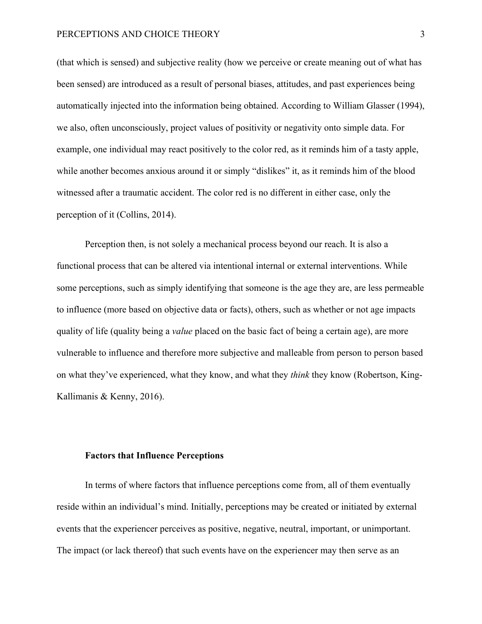(that which is sensed) and subjective reality (how we perceive or create meaning out of what has been sensed) are introduced as a result of personal biases, attitudes, and past experiences being automatically injected into the information being obtained. According to William Glasser (1994), we also, often unconsciously, project values of positivity or negativity onto simple data. For example, one individual may react positively to the color red, as it reminds him of a tasty apple, while another becomes anxious around it or simply "dislikes" it, as it reminds him of the blood witnessed after a traumatic accident. The color red is no different in either case, only the perception of it (Collins, 2014).

Perception then, is not solely a mechanical process beyond our reach. It is also a functional process that can be altered via intentional internal or external interventions. While some perceptions, such as simply identifying that someone is the age they are, are less permeable to influence (more based on objective data or facts), others, such as whether or not age impacts quality of life (quality being a *value* placed on the basic fact of being a certain age), are more vulnerable to influence and therefore more subjective and malleable from person to person based on what they've experienced, what they know, and what they *think* they know (Robertson, King-Kallimanis & Kenny, 2016).

## **Factors that Influence Perceptions**

In terms of where factors that influence perceptions come from, all of them eventually reside within an individual's mind. Initially, perceptions may be created or initiated by external events that the experiencer perceives as positive, negative, neutral, important, or unimportant. The impact (or lack thereof) that such events have on the experiencer may then serve as an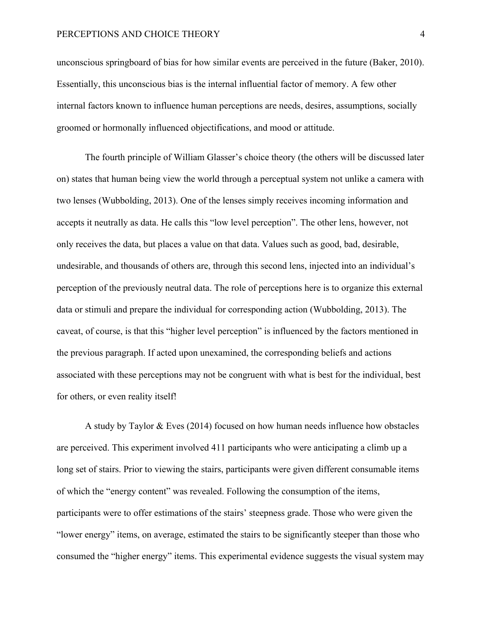unconscious springboard of bias for how similar events are perceived in the future (Baker, 2010). Essentially, this unconscious bias is the internal influential factor of memory. A few other internal factors known to influence human perceptions are needs, desires, assumptions, socially groomed or hormonally influenced objectifications, and mood or attitude.

The fourth principle of William Glasser's choice theory (the others will be discussed later on) states that human being view the world through a perceptual system not unlike a camera with two lenses (Wubbolding, 2013). One of the lenses simply receives incoming information and accepts it neutrally as data. He calls this "low level perception". The other lens, however, not only receives the data, but places a value on that data. Values such as good, bad, desirable, undesirable, and thousands of others are, through this second lens, injected into an individual's perception of the previously neutral data. The role of perceptions here is to organize this external data or stimuli and prepare the individual for corresponding action (Wubbolding, 2013). The caveat, of course, is that this "higher level perception" is influenced by the factors mentioned in the previous paragraph. If acted upon unexamined, the corresponding beliefs and actions associated with these perceptions may not be congruent with what is best for the individual, best for others, or even reality itself!

A study by Taylor & Eves (2014) focused on how human needs influence how obstacles are perceived. This experiment involved 411 participants who were anticipating a climb up a long set of stairs. Prior to viewing the stairs, participants were given different consumable items of which the "energy content" was revealed. Following the consumption of the items, participants were to offer estimations of the stairs' steepness grade. Those who were given the "lower energy" items, on average, estimated the stairs to be significantly steeper than those who consumed the "higher energy" items. This experimental evidence suggests the visual system may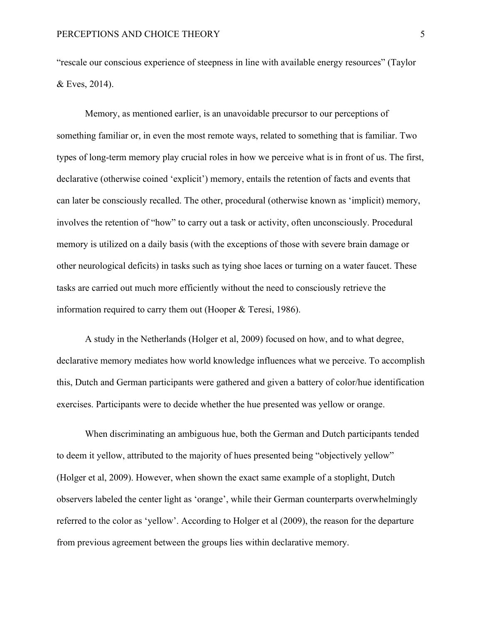"rescale our conscious experience of steepness in line with available energy resources" (Taylor & Eves, 2014).

Memory, as mentioned earlier, is an unavoidable precursor to our perceptions of something familiar or, in even the most remote ways, related to something that is familiar. Two types of long-term memory play crucial roles in how we perceive what is in front of us. The first, declarative (otherwise coined 'explicit') memory, entails the retention of facts and events that can later be consciously recalled. The other, procedural (otherwise known as 'implicit) memory, involves the retention of "how" to carry out a task or activity, often unconsciously. Procedural memory is utilized on a daily basis (with the exceptions of those with severe brain damage or other neurological deficits) in tasks such as tying shoe laces or turning on a water faucet. These tasks are carried out much more efficiently without the need to consciously retrieve the information required to carry them out (Hooper & Teresi, 1986).

A study in the Netherlands (Holger et al, 2009) focused on how, and to what degree, declarative memory mediates how world knowledge influences what we perceive. To accomplish this, Dutch and German participants were gathered and given a battery of color/hue identification exercises. Participants were to decide whether the hue presented was yellow or orange.

When discriminating an ambiguous hue, both the German and Dutch participants tended to deem it yellow, attributed to the majority of hues presented being "objectively yellow" (Holger et al, 2009). However, when shown the exact same example of a stoplight, Dutch observers labeled the center light as 'orange', while their German counterparts overwhelmingly referred to the color as 'yellow'. According to Holger et al (2009), the reason for the departure from previous agreement between the groups lies within declarative memory.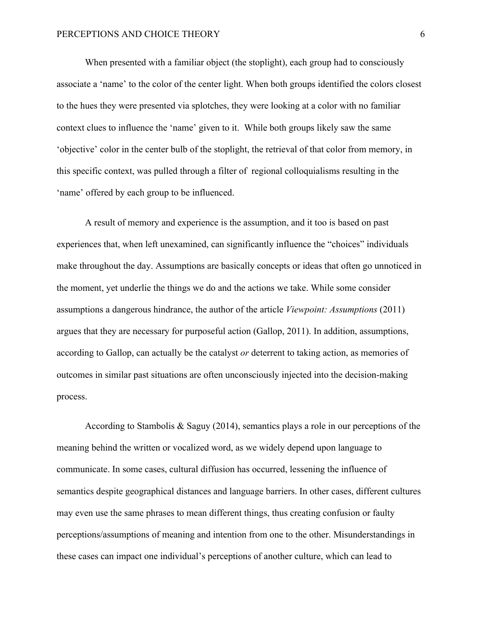When presented with a familiar object (the stoplight), each group had to consciously associate a 'name' to the color of the center light. When both groups identified the colors closest to the hues they were presented via splotches, they were looking at a color with no familiar context clues to influence the 'name' given to it. While both groups likely saw the same 'objective' color in the center bulb of the stoplight, the retrieval of that color from memory, in this specific context, was pulled through a filter of regional colloquialisms resulting in the 'name' offered by each group to be influenced.

A result of memory and experience is the assumption, and it too is based on past experiences that, when left unexamined, can significantly influence the "choices" individuals make throughout the day. Assumptions are basically concepts or ideas that often go unnoticed in the moment, yet underlie the things we do and the actions we take. While some consider assumptions a dangerous hindrance, the author of the article *Viewpoint: Assumptions* (2011) argues that they are necessary for purposeful action (Gallop, 2011). In addition, assumptions, according to Gallop, can actually be the catalyst *or* deterrent to taking action, as memories of outcomes in similar past situations are often unconsciously injected into the decision-making process.

According to Stambolis & Saguy (2014), semantics plays a role in our perceptions of the meaning behind the written or vocalized word, as we widely depend upon language to communicate. In some cases, cultural diffusion has occurred, lessening the influence of semantics despite geographical distances and language barriers. In other cases, different cultures may even use the same phrases to mean different things, thus creating confusion or faulty perceptions/assumptions of meaning and intention from one to the other. Misunderstandings in these cases can impact one individual's perceptions of another culture, which can lead to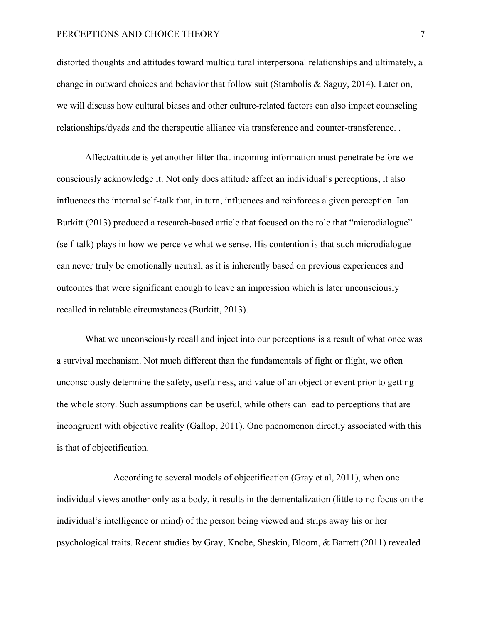distorted thoughts and attitudes toward multicultural interpersonal relationships and ultimately, a change in outward choices and behavior that follow suit (Stambolis & Saguy, 2014). Later on, we will discuss how cultural biases and other culture-related factors can also impact counseling relationships/dyads and the therapeutic alliance via transference and counter-transference. .

Affect/attitude is yet another filter that incoming information must penetrate before we consciously acknowledge it. Not only does attitude affect an individual's perceptions, it also influences the internal self-talk that, in turn, influences and reinforces a given perception. Ian Burkitt (2013) produced a research-based article that focused on the role that "microdialogue" (self-talk) plays in how we perceive what we sense. His contention is that such microdialogue can never truly be emotionally neutral, as it is inherently based on previous experiences and outcomes that were significant enough to leave an impression which is later unconsciously recalled in relatable circumstances (Burkitt, 2013).

What we unconsciously recall and inject into our perceptions is a result of what once was a survival mechanism. Not much different than the fundamentals of fight or flight, we often unconsciously determine the safety, usefulness, and value of an object or event prior to getting the whole story. Such assumptions can be useful, while others can lead to perceptions that are incongruent with objective reality (Gallop, 2011). One phenomenon directly associated with this is that of objectification.

According to several models of objectification (Gray et al, 2011), when one individual views another only as a body, it results in the dementalization (little to no focus on the individual's intelligence or mind) of the person being viewed and strips away his or her psychological traits. Recent studies by Gray, Knobe, Sheskin, Bloom, & Barrett (2011) revealed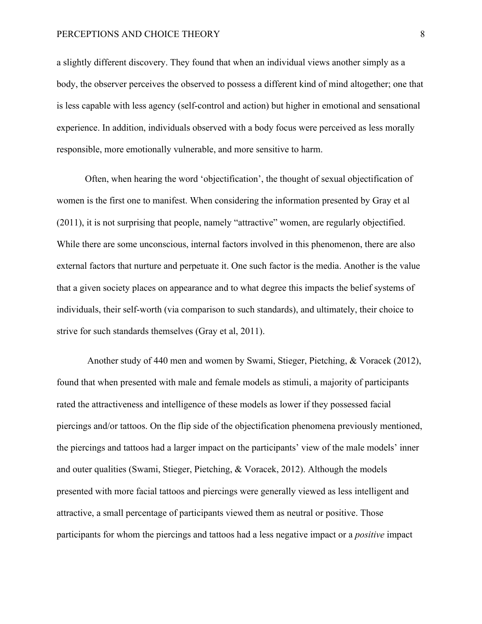a slightly different discovery. They found that when an individual views another simply as a body, the observer perceives the observed to possess a different kind of mind altogether; one that is less capable with less agency (self-control and action) but higher in emotional and sensational experience. In addition, individuals observed with a body focus were perceived as less morally responsible, more emotionally vulnerable, and more sensitive to harm.

Often, when hearing the word 'objectification', the thought of sexual objectification of women is the first one to manifest. When considering the information presented by Gray et al (2011), it is not surprising that people, namely "attractive" women, are regularly objectified. While there are some unconscious, internal factors involved in this phenomenon, there are also external factors that nurture and perpetuate it. One such factor is the media. Another is the value that a given society places on appearance and to what degree this impacts the belief systems of individuals, their self-worth (via comparison to such standards), and ultimately, their choice to strive for such standards themselves (Gray et al, 2011).

Another study of 440 men and women by Swami, Stieger, Pietching, & Voracek (2012), found that when presented with male and female models as stimuli, a majority of participants rated the attractiveness and intelligence of these models as lower if they possessed facial piercings and/or tattoos. On the flip side of the objectification phenomena previously mentioned, the piercings and tattoos had a larger impact on the participants' view of the male models' inner and outer qualities (Swami, Stieger, Pietching, & Voracek, 2012). Although the models presented with more facial tattoos and piercings were generally viewed as less intelligent and attractive, a small percentage of participants viewed them as neutral or positive. Those participants for whom the piercings and tattoos had a less negative impact or a *positive* impact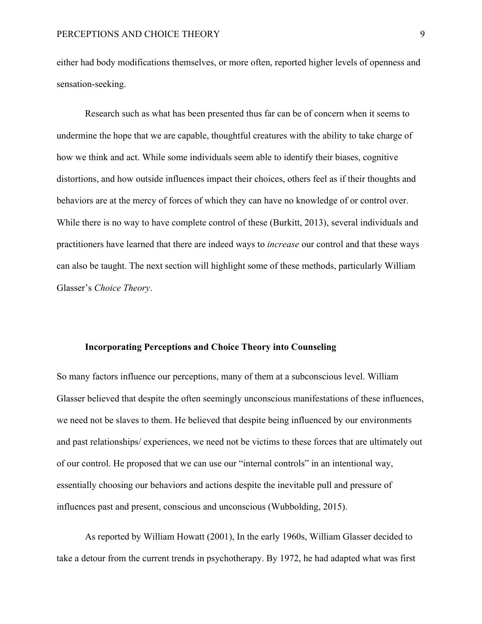either had body modifications themselves, or more often, reported higher levels of openness and sensation-seeking.

Research such as what has been presented thus far can be of concern when it seems to undermine the hope that we are capable, thoughtful creatures with the ability to take charge of how we think and act. While some individuals seem able to identify their biases, cognitive distortions, and how outside influences impact their choices, others feel as if their thoughts and behaviors are at the mercy of forces of which they can have no knowledge of or control over. While there is no way to have complete control of these (Burkitt, 2013), several individuals and practitioners have learned that there are indeed ways to *increase* our control and that these ways can also be taught. The next section will highlight some of these methods, particularly William Glasser's *Choice Theory*.

## **Incorporating Perceptions and Choice Theory into Counseling**

So many factors influence our perceptions, many of them at a subconscious level. William Glasser believed that despite the often seemingly unconscious manifestations of these influences, we need not be slaves to them. He believed that despite being influenced by our environments and past relationships/ experiences, we need not be victims to these forces that are ultimately out of our control. He proposed that we can use our "internal controls" in an intentional way, essentially choosing our behaviors and actions despite the inevitable pull and pressure of influences past and present, conscious and unconscious (Wubbolding, 2015).

As reported by William Howatt (2001), In the early 1960s, William Glasser decided to take a detour from the current trends in psychotherapy. By 1972, he had adapted what was first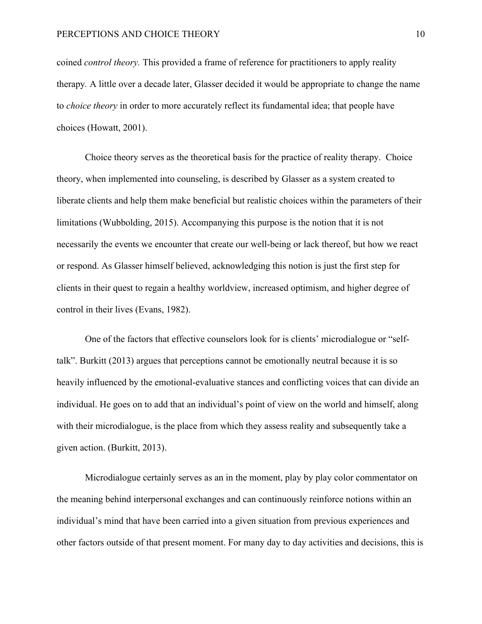coined *control theory.* This provided a frame of reference for practitioners to apply reality therapy*.* A little over a decade later, Glasser decided it would be appropriate to change the name to *choice theory* in order to more accurately reflect its fundamental idea; that people have choices (Howatt, 2001).

Choice theory serves as the theoretical basis for the practice of reality therapy. Choice theory, when implemented into counseling, is described by Glasser as a system created to liberate clients and help them make beneficial but realistic choices within the parameters of their limitations (Wubbolding, 2015). Accompanying this purpose is the notion that it is not necessarily the events we encounter that create our well-being or lack thereof, but how we react or respond. As Glasser himself believed, acknowledging this notion is just the first step for clients in their quest to regain a healthy worldview, increased optimism, and higher degree of control in their lives (Evans, 1982).

One of the factors that effective counselors look for is clients' microdialogue or "selftalk". Burkitt (2013) argues that perceptions cannot be emotionally neutral because it is so heavily influenced by the emotional-evaluative stances and conflicting voices that can divide an individual. He goes on to add that an individual's point of view on the world and himself, along with their microdialogue, is the place from which they assess reality and subsequently take a given action. (Burkitt, 2013).

Microdialogue certainly serves as an in the moment, play by play color commentator on the meaning behind interpersonal exchanges and can continuously reinforce notions within an individual's mind that have been carried into a given situation from previous experiences and other factors outside of that present moment. For many day to day activities and decisions, this is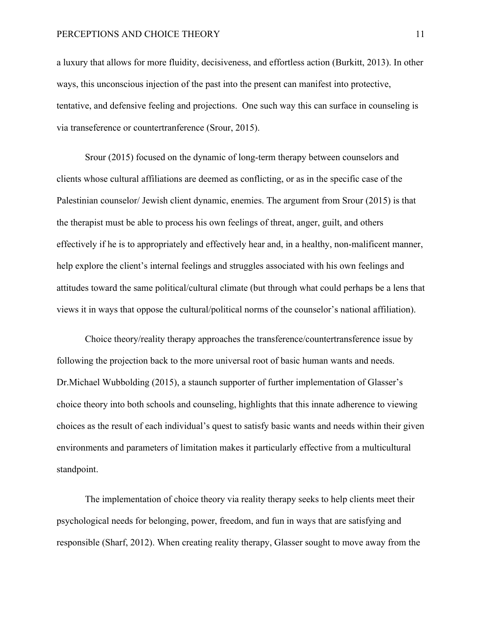a luxury that allows for more fluidity, decisiveness, and effortless action (Burkitt, 2013). In other ways, this unconscious injection of the past into the present can manifest into protective, tentative, and defensive feeling and projections. One such way this can surface in counseling is via transeference or countertranference (Srour, 2015).

Srour (2015) focused on the dynamic of long-term therapy between counselors and clients whose cultural affiliations are deemed as conflicting, or as in the specific case of the Palestinian counselor/ Jewish client dynamic, enemies. The argument from Srour (2015) is that the therapist must be able to process his own feelings of threat, anger, guilt, and others effectively if he is to appropriately and effectively hear and, in a healthy, non-malificent manner, help explore the client's internal feelings and struggles associated with his own feelings and attitudes toward the same political/cultural climate (but through what could perhaps be a lens that views it in ways that oppose the cultural/political norms of the counselor's national affiliation).

Choice theory/reality therapy approaches the transference/countertransference issue by following the projection back to the more universal root of basic human wants and needs. Dr.Michael Wubbolding (2015), a staunch supporter of further implementation of Glasser's choice theory into both schools and counseling, highlights that this innate adherence to viewing choices as the result of each individual's quest to satisfy basic wants and needs within their given environments and parameters of limitation makes it particularly effective from a multicultural standpoint.

The implementation of choice theory via reality therapy seeks to help clients meet their psychological needs for belonging, power, freedom, and fun in ways that are satisfying and responsible (Sharf, 2012). When creating reality therapy, Glasser sought to move away from the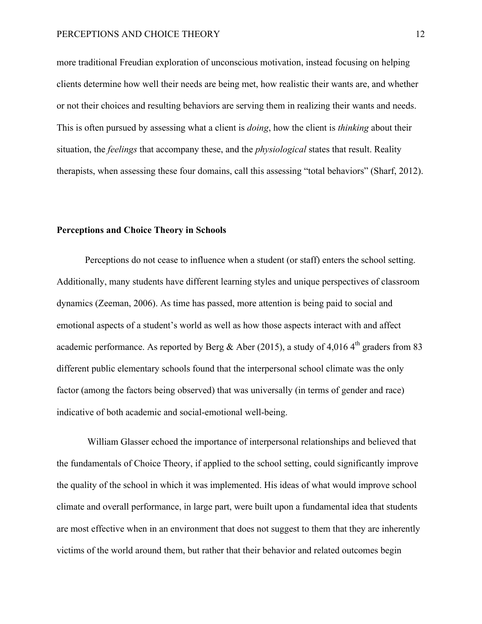more traditional Freudian exploration of unconscious motivation, instead focusing on helping clients determine how well their needs are being met, how realistic their wants are, and whether or not their choices and resulting behaviors are serving them in realizing their wants and needs. This is often pursued by assessing what a client is *doing*, how the client is *thinking* about their situation, the *feelings* that accompany these, and the *physiological* states that result. Reality therapists, when assessing these four domains, call this assessing "total behaviors" (Sharf, 2012).

## **Perceptions and Choice Theory in Schools**

Perceptions do not cease to influence when a student (or staff) enters the school setting. Additionally, many students have different learning styles and unique perspectives of classroom dynamics (Zeeman, 2006). As time has passed, more attention is being paid to social and emotional aspects of a student's world as well as how those aspects interact with and affect academic performance. As reported by Berg & Aber (2015), a study of 4,016 4<sup>th</sup> graders from 83 different public elementary schools found that the interpersonal school climate was the only factor (among the factors being observed) that was universally (in terms of gender and race) indicative of both academic and social-emotional well-being.

William Glasser echoed the importance of interpersonal relationships and believed that the fundamentals of Choice Theory, if applied to the school setting, could significantly improve the quality of the school in which it was implemented. His ideas of what would improve school climate and overall performance, in large part, were built upon a fundamental idea that students are most effective when in an environment that does not suggest to them that they are inherently victims of the world around them, but rather that their behavior and related outcomes begin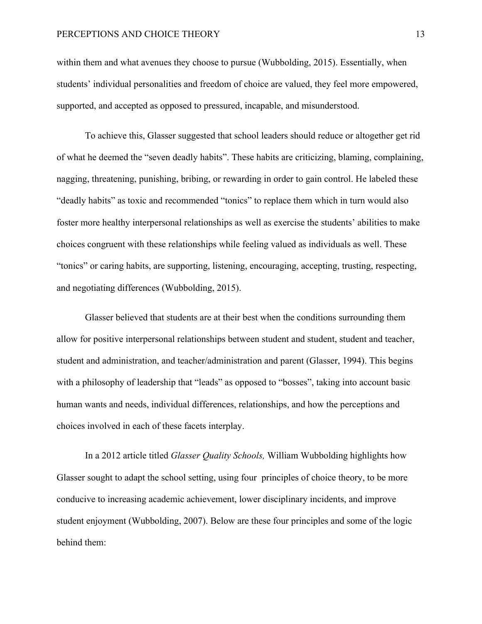within them and what avenues they choose to pursue (Wubbolding, 2015). Essentially, when students' individual personalities and freedom of choice are valued, they feel more empowered, supported, and accepted as opposed to pressured, incapable, and misunderstood.

To achieve this, Glasser suggested that school leaders should reduce or altogether get rid of what he deemed the "seven deadly habits". These habits are criticizing, blaming, complaining, nagging, threatening, punishing, bribing, or rewarding in order to gain control. He labeled these "deadly habits" as toxic and recommended "tonics" to replace them which in turn would also foster more healthy interpersonal relationships as well as exercise the students' abilities to make choices congruent with these relationships while feeling valued as individuals as well. These "tonics" or caring habits, are supporting, listening, encouraging, accepting, trusting, respecting, and negotiating differences (Wubbolding, 2015).

Glasser believed that students are at their best when the conditions surrounding them allow for positive interpersonal relationships between student and student, student and teacher, student and administration, and teacher/administration and parent (Glasser, 1994). This begins with a philosophy of leadership that "leads" as opposed to "bosses", taking into account basic human wants and needs, individual differences, relationships, and how the perceptions and choices involved in each of these facets interplay.

In a 2012 article titled *Glasser Quality Schools,* William Wubbolding highlights how Glasser sought to adapt the school setting, using four principles of choice theory, to be more conducive to increasing academic achievement, lower disciplinary incidents, and improve student enjoyment (Wubbolding, 2007). Below are these four principles and some of the logic behind them: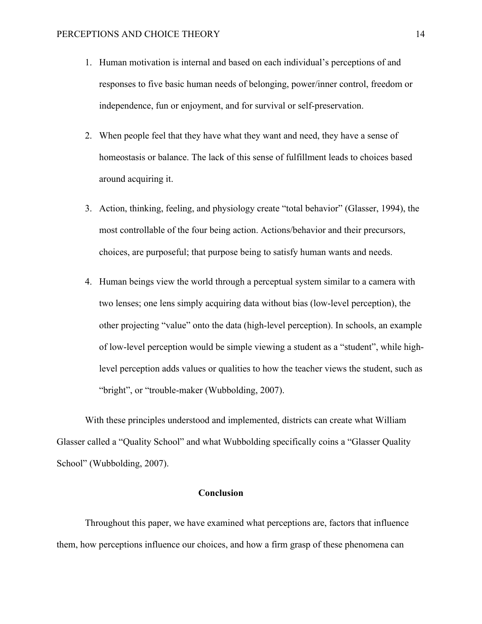- 1. Human motivation is internal and based on each individual's perceptions of and responses to five basic human needs of belonging, power/inner control, freedom or independence, fun or enjoyment, and for survival or self-preservation.
- 2. When people feel that they have what they want and need, they have a sense of homeostasis or balance. The lack of this sense of fulfillment leads to choices based around acquiring it.
- 3. Action, thinking, feeling, and physiology create "total behavior" (Glasser, 1994), the most controllable of the four being action. Actions/behavior and their precursors, choices, are purposeful; that purpose being to satisfy human wants and needs.
- 4. Human beings view the world through a perceptual system similar to a camera with two lenses; one lens simply acquiring data without bias (low-level perception), the other projecting "value" onto the data (high-level perception). In schools, an example of low-level perception would be simple viewing a student as a "student", while highlevel perception adds values or qualities to how the teacher views the student, such as "bright", or "trouble-maker (Wubbolding, 2007).

With these principles understood and implemented, districts can create what William Glasser called a "Quality School" and what Wubbolding specifically coins a "Glasser Quality School" (Wubbolding, 2007).

## **Conclusion**

Throughout this paper, we have examined what perceptions are, factors that influence them, how perceptions influence our choices, and how a firm grasp of these phenomena can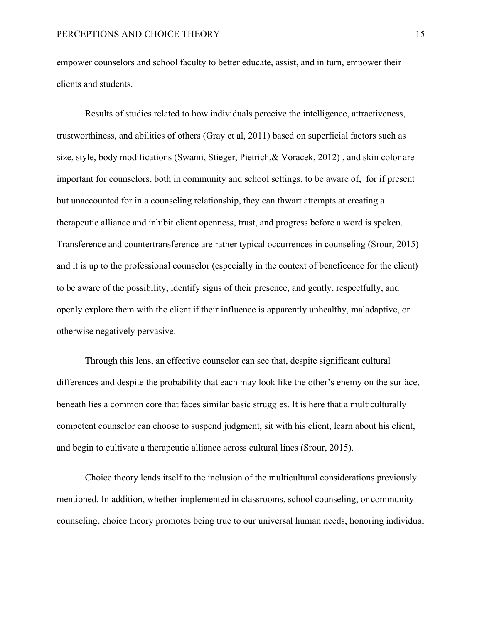empower counselors and school faculty to better educate, assist, and in turn, empower their clients and students.

Results of studies related to how individuals perceive the intelligence, attractiveness, trustworthiness, and abilities of others (Gray et al, 2011) based on superficial factors such as size, style, body modifications (Swami, Stieger, Pietrich,& Voracek, 2012) , and skin color are important for counselors, both in community and school settings, to be aware of, for if present but unaccounted for in a counseling relationship, they can thwart attempts at creating a therapeutic alliance and inhibit client openness, trust, and progress before a word is spoken. Transference and countertransference are rather typical occurrences in counseling (Srour, 2015) and it is up to the professional counselor (especially in the context of beneficence for the client) to be aware of the possibility, identify signs of their presence, and gently, respectfully, and openly explore them with the client if their influence is apparently unhealthy, maladaptive, or otherwise negatively pervasive.

Through this lens, an effective counselor can see that, despite significant cultural differences and despite the probability that each may look like the other's enemy on the surface, beneath lies a common core that faces similar basic struggles. It is here that a multiculturally competent counselor can choose to suspend judgment, sit with his client, learn about his client, and begin to cultivate a therapeutic alliance across cultural lines (Srour, 2015).

Choice theory lends itself to the inclusion of the multicultural considerations previously mentioned. In addition, whether implemented in classrooms, school counseling, or community counseling, choice theory promotes being true to our universal human needs, honoring individual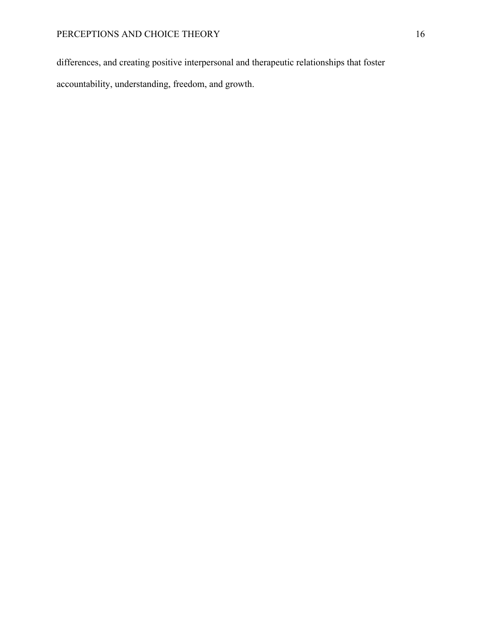differences, and creating positive interpersonal and therapeutic relationships that foster

accountability, understanding, freedom, and growth.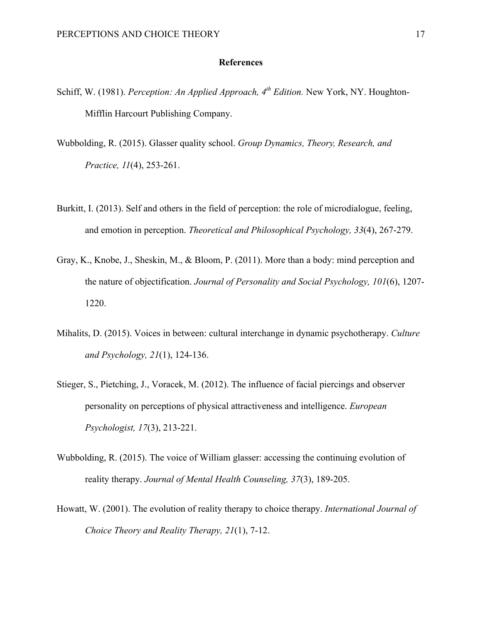# **References**

- Schiff, W. (1981). *Perception: An Applied Approach, 4th Edition.* New York, NY. Houghton-Mifflin Harcourt Publishing Company.
- Wubbolding, R. (2015). Glasser quality school. *Group Dynamics, Theory, Research, and Practice, 11*(4), 253-261.
- Burkitt, I. (2013). Self and others in the field of perception: the role of microdialogue, feeling, and emotion in perception. *Theoretical and Philosophical Psychology, 33*(4), 267-279.
- Gray, K., Knobe, J., Sheskin, M., & Bloom, P. (2011). More than a body: mind perception and the nature of objectification. *Journal of Personality and Social Psychology, 101*(6), 1207- 1220.
- Mihalits, D. (2015). Voices in between: cultural interchange in dynamic psychotherapy. *Culture and Psychology, 21*(1), 124-136.
- Stieger, S., Pietching, J., Voracek, M. (2012). The influence of facial piercings and observer personality on perceptions of physical attractiveness and intelligence. *European Psychologist, 17*(3), 213-221.
- Wubbolding, R. (2015). The voice of William glasser: accessing the continuing evolution of reality therapy. *Journal of Mental Health Counseling, 37*(3), 189-205.
- Howatt, W. (2001). The evolution of reality therapy to choice therapy. *International Journal of Choice Theory and Reality Therapy, 21*(1), 7-12.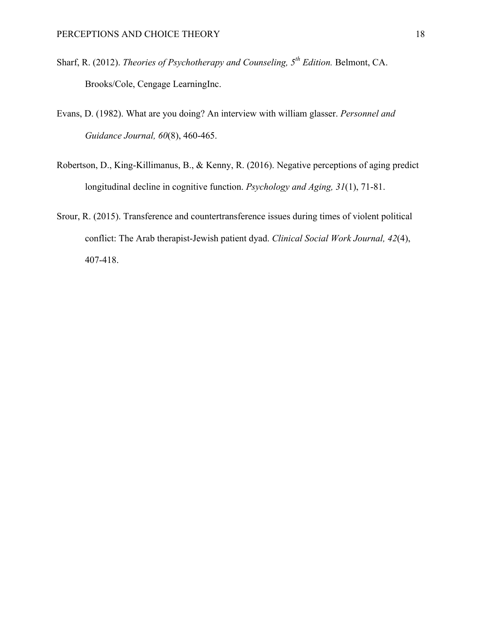- Sharf, R. (2012). *Theories of Psychotherapy and Counseling, 5th Edition.* Belmont, CA. Brooks/Cole, Cengage LearningInc.
- Evans, D. (1982). What are you doing? An interview with william glasser. *Personnel and Guidance Journal, 60*(8), 460-465.
- Robertson, D., King-Killimanus, B., & Kenny, R. (2016). Negative perceptions of aging predict longitudinal decline in cognitive function. *Psychology and Aging, 31*(1), 71-81.
- Srour, R. (2015). Transference and countertransference issues during times of violent political conflict: The Arab therapist-Jewish patient dyad. *Clinical Social Work Journal, 42*(4), 407-418.